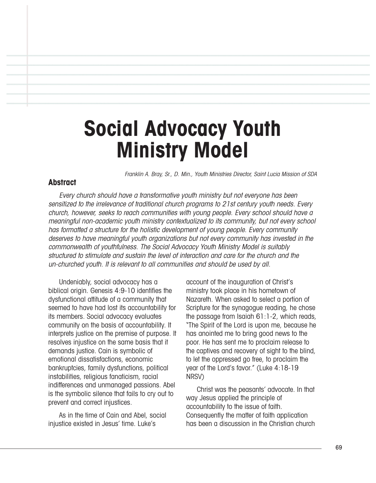# **Social Advocacy Youth Ministry Model**

Franklin A. Bray, Sr., D. Min., Youth Ministries Director, Saint Lucia Mission of SDA

#### **Abstract**

Every church should have <sup>a</sup> transformative youth ministry but not everyone has been sensitized to the irrelevance of traditional church programs to 21st century youth needs. Every church, however, seeks to reach communities with young people. Every school should have <sup>a</sup> meaningful non-academic youth ministry contextualized to its community, but not every school has formatted <sup>a</sup> structure for the holistic development of young people. Every community deserves to have meaningful youth organizations but not every community has invested in the commonwealth of youthfulness. The Social Advocacy Youth Ministry Model is suitably structured to stimulate and sustain the level of interaction and care for the church and the un-churched youth. It is relevant to all communities and should be used by all.

Undeniably, social advocacy has a biblical origin. Genesis 4:9-10 identifies the dysfunctional attitude of a community that seemed to have had lost its accountability for its members. Social advocacy evaluates community on the basis of accountability. It interprets justice on the premise of purpose. It resolves injustice on the same basis that it demands justice. Cain is symbolic of emotional dissatisfactions, economic bankruptcies, family dysfunctions, political instabilities, religious fanaticism, racial indifferences and unmanaged passions. Abel is the symbolic silence that fails to cry out to prevent and correct injustices.

As in the time of Cain and Abel, social injustice existed in Jesus' time. Luke's

account of the inauguration of Christ's ministry took place in his hometown of Nazareth. When asked to select a portion of Scripture for the synagogue reading, he chose the passage from Isaiah 61:1-2, which reads, "The Spirit of the Lord is upon me, because he has anointed me to bring good news to the poor. He has sent me to proclaim release to the captives and recovery of sight to the blind, to let the oppressed go free, to proclaim the year of the Lord's favor." (Luke 4:18-19 NRSV)

Christ was the peasants' advocate. In that way Jesus applied the principle of accountability to the issue of faith. Consequently the matter of faith application has been a discussion in the Christian church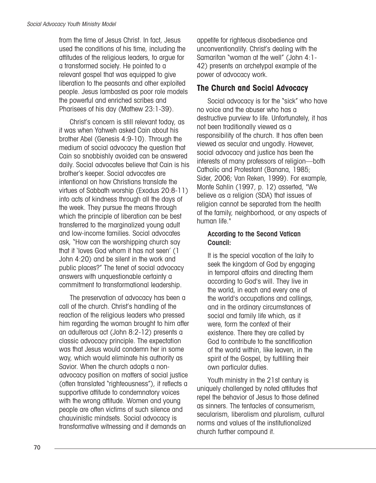from the time of Jesus Christ. In fact, Jesus used the conditions of his time, including the attitudes of the religious leaders, to argue for a transformed society. He pointed to a relevant gospel that was equipped to give liberation to the peasants and other exploited people. Jesus lambasted as poor role models the powerful and enriched scribes and Pharisees of his day (Mathew 23:1-39).

Christ's concern is still relevant today, as it was when Yahweh asked Cain about his brother Abel (Genesis 4:9-10). Through the medium of social advocacy the question that Cain so snobbishly avoided can be answered daily. Social advocates believe that Cain is his brother's keeper. Social advocates are intentional on how Christians translate the virtues of Sabbath worship (Exodus 20:8-11) into acts of kindness through all the days of the week. They pursue the means through which the principle of liberation can be best transferred to the marginalized young adult and low-income families. Social advocates ask, "How can the worshipping church say that it 'loves God whom it has not seen' (1 John 4:20) and be silent in the work and public places?" The tenet of social advocacy answers with unquestionable certainty a commitment to transformational leadership.

The preservation of advocacy has been a call of the church. Christ's handling of the reaction of the religious leaders who pressed him regarding the woman brought to him after an adulterous act (John 8:2-12) presents a classic advocacy principle. The expectation was that Jesus would condemn her in some way, which would eliminate his authority as Savior. When the church adopts a nonadvocacy position on matters of social justice (often translated "righteousness"), it reflects a supportive attitude to condemnatory voices with the wrong attitude. Women and young people are often victims of such silence and chauvinistic mindsets. Social advocacy is transformative witnessing and it demands an

appetite for righteous disobedience and unconventionality. Christ's dealing with the Samaritan "woman at the well" (John 4:1- 42) presents an archetypal example of the power of advocacy work.

## **The Church and Social Advocacy**

Social advocacy is for the "sick" who have no voice and the abuser who has a destructive purview to life. Unfortunately, it has not been traditionally viewed as a responsibility of the church. It has often been viewed as secular and ungodly. However, social advocacy and justice has been the interests of many professors of religion—both Catholic and Protestant (Banana, 1985; Sider, 2006; Van Reken, 1999). For example, Monte Sahlin (1997, p. 12) asserted, "We believe as a religion (SDA) that issues of religion cannot be separated from the health of the family, neighborhood, or any aspects of human life."

#### According to the Second Vatican Council:

It is the special vocation of the laity to seek the kingdom of God by engaging in temporal affairs and directing them according to God's will. They live in the world, in each and every one of the world's occupations and callings, and in the ordinary circumstances of social and family life which, as it were, form the context of their existence. There they are called by God to contribute to the sanctification of the world within, like leaven, in the spirit of the Gospel, by fulfilling their own particular duties.

Youth ministry in the 21st century is uniquely challenged by noted attitudes that repel the behavior of Jesus to those defined as sinners. The tentacles of consumerism, secularism, liberalism and pluralism, cultural norms and values of the institutionalized church further compound it.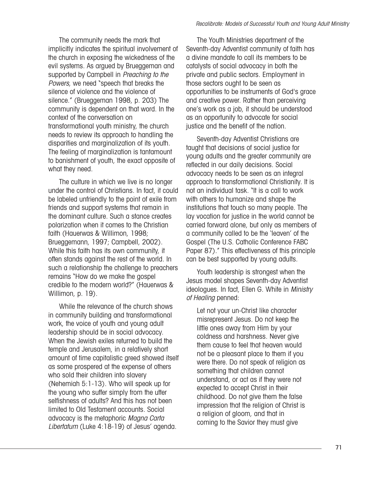The community needs the mark that implicitly indicates the spiritual involvement of the church in exposing the wickedness of the evil systems. As argued by Brueggeman and supported by Campbell in Preaching to the Powers, we need "speech that breaks the silence of violence and the violence of silence." (Brueggeman 1998, p. 203) The community is dependent on that word. In the context of the conversation on transformational youth ministry, the church needs to review its approach to handling the disparities and marginalization of its youth. The feeling of marginalization is tantamount to banishment of youth, the exact opposite of what they need.

The culture in which we live is no longer under the control of Christians. In fact, it could be labeled unfriendly to the point of exile from friends and support systems that remain in the dominant culture. Such a stance creates polarization when it comes to the Christian faith (Hauerwas & Willimon, 1998; Brueggemann, 1997; Campbell, 2002). While this faith has its own community, it often stands against the rest of the world. In such a relationship the challenge to preachers remains "How do we make the gospel credible to the modern world?" (Hauerwas & Willimon, p. 19).

While the relevance of the church shows in community building and transformational work, the voice of youth and young adult leadership should be in social advocacy. When the Jewish exiles returned to build the temple and Jerusalem, in a relatively short amount of time capitalistic greed showed itself as some prospered at the expense of others who sold their children into slavery (Nehemiah 5:1-13). Who will speak up for the young who suffer simply from the utter selfishness of adults? And this has not been limited to Old Testament accounts. Social advocacy is the metaphoric Magna Carta Libertatum (Luke 4:18-19) of Jesus' agenda.

The Youth Ministries department of the Seventh-day Adventist community of faith has a divine mandate to call its members to be catalysts of social advocacy in both the private and public sectors. Employment in those sectors ought to be seen as opportunities to be instruments of God's grace and creative power. Rather than perceiving one's work as a job, it should be understood as an opportunity to advocate for social justice and the benefit of the nation.

Seventh-day Adventist Christians are taught that decisions of social justice for young adults and the greater community are reflected in our daily decisions. Social advocacy needs to be seen as an integral approach to transformational Christianity. It is not an individual task. "It is a call to work with others to humanize and shape the institutions that touch so many people. The lay vocation for justice in the world cannot be carried forward alone, but only as members of a community called to be the 'leaven' of the Gospel (The U.S. Catholic Conference FABC Paper 87)." This effectiveness of this principle can be best supported by young adults.

Youth leadership is strongest when the Jesus model shapes Seventh-day Adventist ideologues. In fact, Ellen G. White in *Ministry* of Healing penned:

Let not your un-Christ like character misrepresent Jesus. Do not keep the little ones away from Him by your coldness and harshness. Never give them cause to feel that heaven would not be a pleasant place to them if you were there. Do not speak of religion as something that children cannot understand, or act as if they were not expected to accept Christ in their childhood. Do not give them the false impression that the religion of Christ is a religion of gloom, and that in coming to the Savior they must give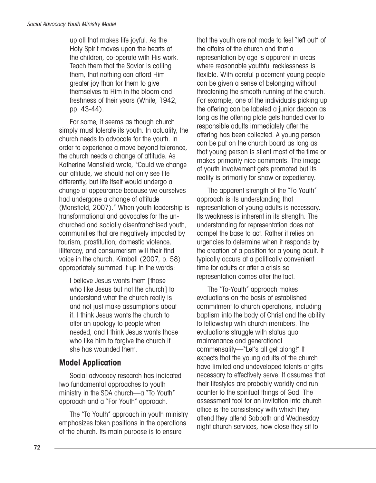up all that makes life joyful. As the Holy Spirit moves upon the hearts of the children, co-operate with His work. Teach them that the Savior is calling them, that nothing can afford Him greater joy than for them to give themselves to Him in the bloom and freshness of their years (White, 1942, pp. 43-44).

For some, it seems as though church simply must tolerate its youth. In actuality, the church needs to advocate for the youth. In order to experience a move beyond tolerance, the church needs a change of attitude. As Katherine Mansfield wrote, "Could we change our attitude, we should not only see life differently, but life itself would undergo a change of appearance because we ourselves had undergone a change of attitude (Mansfield, 2007)." When youth leadership is transformational and advocates for the unchurched and socially disenfranchised youth, communities that are negatively impacted by tourism, prostitution, domestic violence, illiteracy, and consumerism will their find voice in the church. Kimball (2007, p. 58) appropriately summed it up in the words:

I believe Jesus wants them [those who like Jesus but not the church] to understand what the church really is and not just make assumptions about it. I think Jesus wants the church to offer an apology to people when needed, and I think Jesus wants those who like him to forgive the church if she has wounded them.

## **Model Application**

Social advocacy research has indicated two fundamental approaches to youth ministry in the SDA church—a "To Youth" approach and a "For Youth" approach.

The "To Youth" approach in youth ministry emphasizes token positions in the operations of the church. Its main purpose is to ensure

that the youth are not made to feel "left out" of the affairs of the church and that a representation by age is apparent in areas where reasonable youthful recklessness is flexible. With careful placement young people can be given a sense of belonging without threatening the smooth running of the church. For example, one of the individuals picking up the offering can be labeled a junior deacon as long as the offering plate gets handed over to responsible adults immediately after the offering has been collected. A young person can be put on the church board as long as that young person is silent most of the time or makes primarily nice comments. The image of youth involvement gets promoted but its reality is primarily for show or expediency.

The apparent strength of the "To Youth" approach is its understanding that representation of young adults is necessary. Its weakness is inherent in its strength. The understanding for representation does not compel the base to act. Rather it relies on urgencies to determine when it responds by the creation of a position for a young adult. It typically occurs at a politically convenient time for adults or after a crisis so representation comes after the fact.

The "To-Youth" approach makes evaluations on the basis of established commitment to church operations, including baptism into the body of Christ and the ability to fellowship with church members. The evaluations struggle with status quo maintenance and generational commensality—"Let's all get along!" It expects that the young adults of the church have limited and undeveloped talents or gifts necessary to effectively serve. It assumes that their lifestyles are probably worldly and run counter to the spiritual things of God. The assessment tool for an invitation into church office is the consistency with which they attend they attend Sabbath and Wednesday night church services, how close they sit to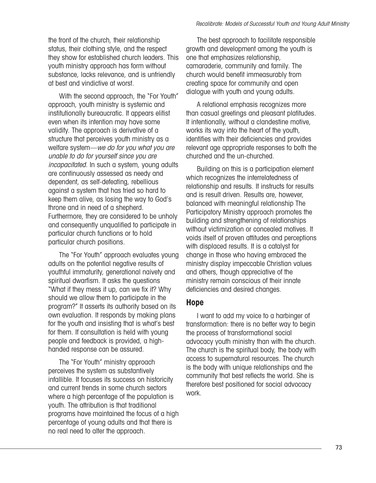the front of the church, their relationship status, their clothing style, and the respect they show for established church leaders. This youth ministry approach has form without substance, lacks relevance, and is unfriendly at best and vindictive at worst.

With the second approach, the "For Youth" approach, youth ministry is systemic and institutionally bureaucratic. It appears elitist even when its intention may have some validity. The approach is derivative of a structure that perceives youth ministry as a welfare system—we do for you what you are unable to do for yourself since you are incapacitated. In such a system, young adults are continuously assessed as needy and dependent, as self-defeating, rebellious against a system that has tried so hard to keep them alive, as losing the way to God's throne and in need of a shepherd. Furthermore, they are considered to be unholy and consequently unqualified to participate in particular church functions or to hold particular church positions.

The "For Youth" approach evaluates young adults on the potential negative results of youthful immaturity, generational naivety and spiritual dwarfism. It asks the questions "What if they mess it up, can we fix it? Why should we allow them to participate in the program?" It asserts its authority based on its own evaluation. It responds by making plans for the youth and insisting that is what's best for them. If consultation is held with young people and feedback is provided, a highhanded response can be assured.

The "For Youth" ministry approach perceives the system as substantively infallible. It focuses its success on historicity and current trends in some church sectors where a high percentage of the population is youth. The attribution is that traditional programs have maintained the focus of a high percentage of young adults and that there is no real need to alter the approach.

The best approach to facilitate responsible growth and development among the youth is one that emphasizes relationship, camaraderie, community and family. The church would benefit immeasurably from creating space for community and open dialogue with youth and young adults.

A relational emphasis recognizes more than casual greetings and pleasant platitudes. It intentionally, without a clandestine motive, works its way into the heart of the youth, identifies with their deficiencies and provides relevant age appropriate responses to both the churched and the un-churched.

Building on this is a participation element which recognizes the interrelatedness of relationship and results. It instructs for results and is result driven. Results are, however, balanced with meaningful relationship The Participatory Ministry approach promotes the building and strengthening of relationships without victimization or concealed motives. It voids itself of proven attitudes and perceptions with displaced results. It is a catalyst for change in those who having embraced the ministry display impeccable Christian values and others, though appreciative of the ministry remain conscious of their innate deficiencies and desired changes.

### **Hope**

I want to add my voice to a harbinger of transformation: there is no better way to begin the process of transformational social advocacy youth ministry than with the church. The church is the spiritual body, the body with access to supernatural resources. The church is the body with unique relationships and the community that best reflects the world. She is therefore best positioned for social advocacy work.